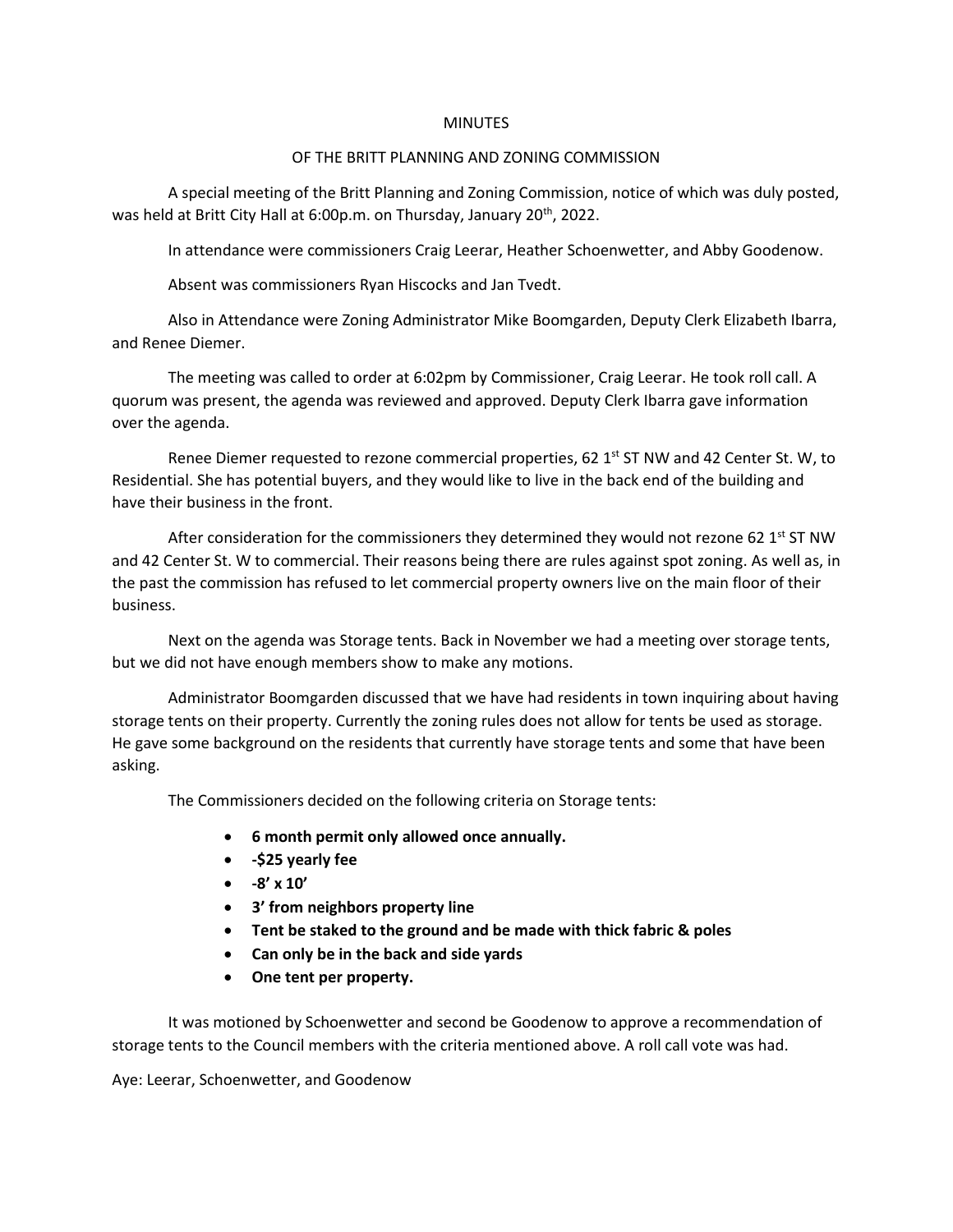## **MINUTES**

## OF THE BRITT PLANNING AND ZONING COMMISSION

A special meeting of the Britt Planning and Zoning Commission, notice of which was duly posted, was held at Britt City Hall at 6:00p.m. on Thursday, January 20<sup>th</sup>, 2022.

In attendance were commissioners Craig Leerar, Heather Schoenwetter, and Abby Goodenow.

Absent was commissioners Ryan Hiscocks and Jan Tvedt.

Also in Attendance were Zoning Administrator Mike Boomgarden, Deputy Clerk Elizabeth Ibarra, and Renee Diemer.

The meeting was called to order at 6:02pm by Commissioner, Craig Leerar. He took roll call. A quorum was present, the agenda was reviewed and approved. Deputy Clerk Ibarra gave information over the agenda.

Renee Diemer requested to rezone commercial properties, 62  $1<sup>st</sup>$  ST NW and 42 Center St. W, to Residential. She has potential buyers, and they would like to live in the back end of the building and have their business in the front.

After consideration for the commissioners they determined they would not rezone 62  $1<sup>st</sup>$  ST NW and 42 Center St. W to commercial. Their reasons being there are rules against spot zoning. As well as, in the past the commission has refused to let commercial property owners live on the main floor of their business.

Next on the agenda was Storage tents. Back in November we had a meeting over storage tents, but we did not have enough members show to make any motions.

Administrator Boomgarden discussed that we have had residents in town inquiring about having storage tents on their property. Currently the zoning rules does not allow for tents be used as storage. He gave some background on the residents that currently have storage tents and some that have been asking.

The Commissioners decided on the following criteria on Storage tents:

- **6 month permit only allowed once annually.**
- **-\$25 yearly fee**
- **-8' x 10'**
- **3' from neighbors property line**
- **Tent be staked to the ground and be made with thick fabric & poles**
- **Can only be in the back and side yards**
- **One tent per property.**

It was motioned by Schoenwetter and second be Goodenow to approve a recommendation of storage tents to the Council members with the criteria mentioned above. A roll call vote was had.

Aye: Leerar, Schoenwetter, and Goodenow